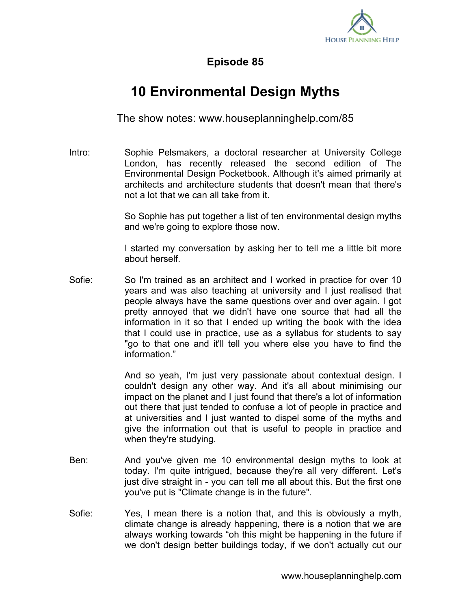

## **Episode 85**

## **10 Environmental Design Myths**

The show notes: www.houseplanninghelp.com/85

Intro: Sophie Pelsmakers, a doctoral researcher at University College London, has recently released the second edition of The Environmental Design Pocketbook. Although it's aimed primarily at architects and architecture students that doesn't mean that there's not a lot that we can all take from it.

> So Sophie has put together a list of ten environmental design myths and we're going to explore those now.

> I started my conversation by asking her to tell me a little bit more about herself.

Sofie: So I'm trained as an architect and I worked in practice for over 10 years and was also teaching at university and I just realised that people always have the same questions over and over again. I got pretty annoyed that we didn't have one source that had all the information in it so that I ended up writing the book with the idea that I could use in practice, use as a syllabus for students to say "go to that one and it'll tell you where else you have to find the information."

> And so yeah, I'm just very passionate about contextual design. I couldn't design any other way. And it's all about minimising our impact on the planet and I just found that there's a lot of information out there that just tended to confuse a lot of people in practice and at universities and I just wanted to dispel some of the myths and give the information out that is useful to people in practice and when they're studying.

- Ben: And you've given me 10 environmental design myths to look at today. I'm quite intrigued, because they're all very different. Let's just dive straight in - you can tell me all about this. But the first one you've put is "Climate change is in the future".
- Sofie: Yes, I mean there is a notion that, and this is obviously a myth, climate change is already happening, there is a notion that we are always working towards "oh this might be happening in the future if we don't design better buildings today, if we don't actually cut our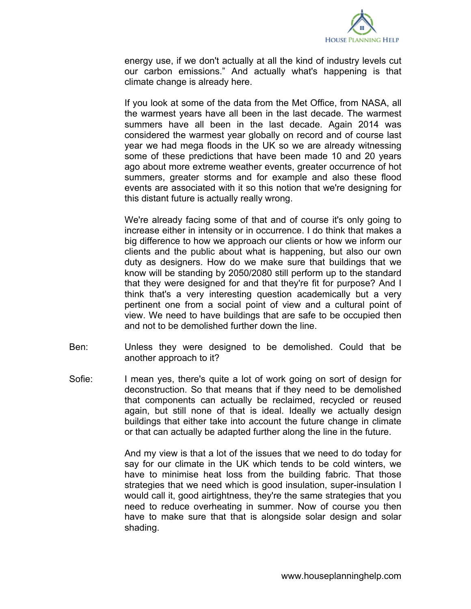

energy use, if we don't actually at all the kind of industry levels cut our carbon emissions." And actually what's happening is that climate change is already here.

If you look at some of the data from the Met Office, from NASA, all the warmest years have all been in the last decade. The warmest summers have all been in the last decade. Again 2014 was considered the warmest year globally on record and of course last year we had mega floods in the UK so we are already witnessing some of these predictions that have been made 10 and 20 years ago about more extreme weather events, greater occurrence of hot summers, greater storms and for example and also these flood events are associated with it so this notion that we're designing for this distant future is actually really wrong.

We're already facing some of that and of course it's only going to increase either in intensity or in occurrence. I do think that makes a big difference to how we approach our clients or how we inform our clients and the public about what is happening, but also our own duty as designers. How do we make sure that buildings that we know will be standing by 2050/2080 still perform up to the standard that they were designed for and that they're fit for purpose? And I think that's a very interesting question academically but a very pertinent one from a social point of view and a cultural point of view. We need to have buildings that are safe to be occupied then and not to be demolished further down the line.

- Ben: Unless they were designed to be demolished. Could that be another approach to it?
- Sofie: I mean yes, there's quite a lot of work going on sort of design for deconstruction. So that means that if they need to be demolished that components can actually be reclaimed, recycled or reused again, but still none of that is ideal. Ideally we actually design buildings that either take into account the future change in climate or that can actually be adapted further along the line in the future.

And my view is that a lot of the issues that we need to do today for say for our climate in the UK which tends to be cold winters, we have to minimise heat loss from the building fabric. That those strategies that we need which is good insulation, super-insulation I would call it, good airtightness, they're the same strategies that you need to reduce overheating in summer. Now of course you then have to make sure that that is alongside solar design and solar shading.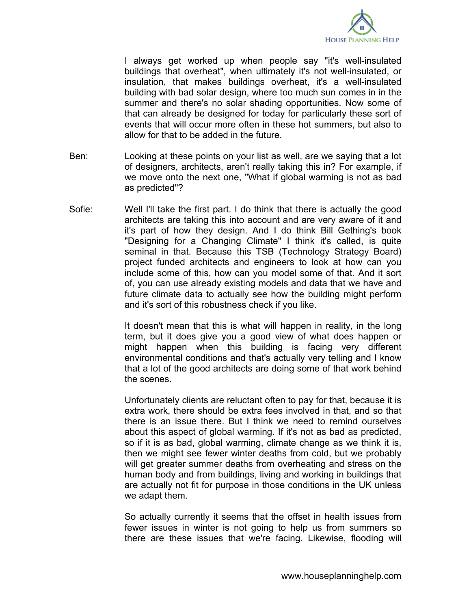

I always get worked up when people say "it's well-insulated buildings that overheat", when ultimately it's not well-insulated, or insulation, that makes buildings overheat, it's a well-insulated building with bad solar design, where too much sun comes in in the summer and there's no solar shading opportunities. Now some of that can already be designed for today for particularly these sort of events that will occur more often in these hot summers, but also to allow for that to be added in the future.

- Ben: Looking at these points on your list as well, are we saying that a lot of designers, architects, aren't really taking this in? For example, if we move onto the next one, "What if global warming is not as bad as predicted"?
- Sofie: Well I'll take the first part. I do think that there is actually the good architects are taking this into account and are very aware of it and it's part of how they design. And I do think Bill Gething's book "Designing for a Changing Climate" I think it's called, is quite seminal in that. Because this TSB (Technology Strategy Board) project funded architects and engineers to look at how can you include some of this, how can you model some of that. And it sort of, you can use already existing models and data that we have and future climate data to actually see how the building might perform and it's sort of this robustness check if you like.

It doesn't mean that this is what will happen in reality, in the long term, but it does give you a good view of what does happen or might happen when this building is facing very different environmental conditions and that's actually very telling and I know that a lot of the good architects are doing some of that work behind the scenes.

Unfortunately clients are reluctant often to pay for that, because it is extra work, there should be extra fees involved in that, and so that there is an issue there. But I think we need to remind ourselves about this aspect of global warming. If it's not as bad as predicted, so if it is as bad, global warming, climate change as we think it is, then we might see fewer winter deaths from cold, but we probably will get greater summer deaths from overheating and stress on the human body and from buildings, living and working in buildings that are actually not fit for purpose in those conditions in the UK unless we adapt them.

So actually currently it seems that the offset in health issues from fewer issues in winter is not going to help us from summers so there are these issues that we're facing. Likewise, flooding will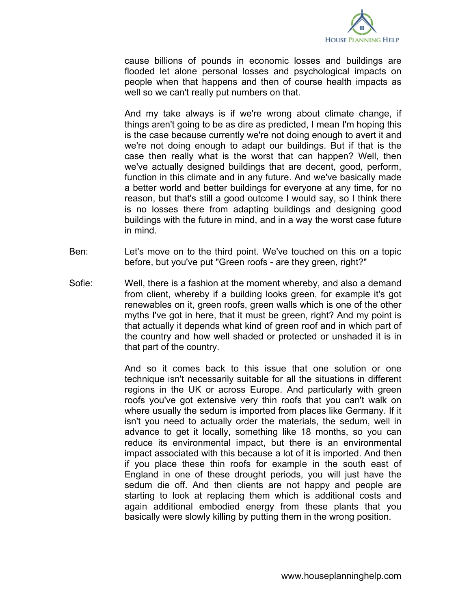

cause billions of pounds in economic losses and buildings are flooded let alone personal losses and psychological impacts on people when that happens and then of course health impacts as well so we can't really put numbers on that.

And my take always is if we're wrong about climate change, if things aren't going to be as dire as predicted, I mean I'm hoping this is the case because currently we're not doing enough to avert it and we're not doing enough to adapt our buildings. But if that is the case then really what is the worst that can happen? Well, then we've actually designed buildings that are decent, good, perform, function in this climate and in any future. And we've basically made a better world and better buildings for everyone at any time, for no reason, but that's still a good outcome I would say, so I think there is no losses there from adapting buildings and designing good buildings with the future in mind, and in a way the worst case future in mind.

- Ben: Let's move on to the third point. We've touched on this on a topic before, but you've put "Green roofs - are they green, right?"
- Sofie: Well, there is a fashion at the moment whereby, and also a demand from client, whereby if a building looks green, for example it's got renewables on it, green roofs, green walls which is one of the other myths I've got in here, that it must be green, right? And my point is that actually it depends what kind of green roof and in which part of the country and how well shaded or protected or unshaded it is in that part of the country.

And so it comes back to this issue that one solution or one technique isn't necessarily suitable for all the situations in different regions in the UK or across Europe. And particularly with green roofs you've got extensive very thin roofs that you can't walk on where usually the sedum is imported from places like Germany. If it isn't you need to actually order the materials, the sedum, well in advance to get it locally, something like 18 months, so you can reduce its environmental impact, but there is an environmental impact associated with this because a lot of it is imported. And then if you place these thin roofs for example in the south east of England in one of these drought periods, you will just have the sedum die off. And then clients are not happy and people are starting to look at replacing them which is additional costs and again additional embodied energy from these plants that you basically were slowly killing by putting them in the wrong position.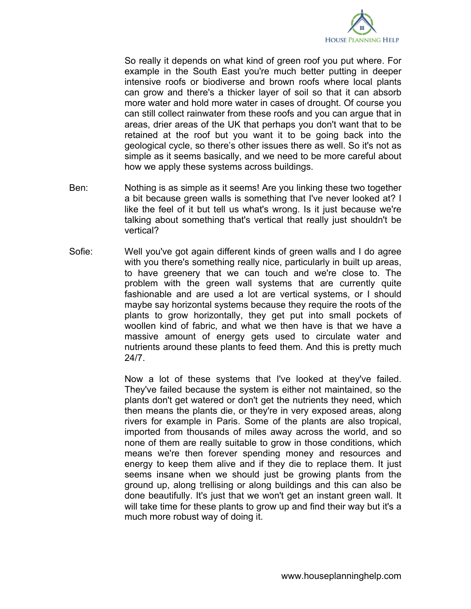

So really it depends on what kind of green roof you put where. For example in the South East you're much better putting in deeper intensive roofs or biodiverse and brown roofs where local plants can grow and there's a thicker layer of soil so that it can absorb more water and hold more water in cases of drought. Of course you can still collect rainwater from these roofs and you can argue that in areas, drier areas of the UK that perhaps you don't want that to be retained at the roof but you want it to be going back into the geological cycle, so there's other issues there as well. So it's not as simple as it seems basically, and we need to be more careful about how we apply these systems across buildings.

- Ben: Nothing is as simple as it seems! Are you linking these two together a bit because green walls is something that I've never looked at? I like the feel of it but tell us what's wrong. Is it just because we're talking about something that's vertical that really just shouldn't be vertical?
- Sofie: Well you've got again different kinds of green walls and I do agree with you there's something really nice, particularly in built up areas, to have greenery that we can touch and we're close to. The problem with the green wall systems that are currently quite fashionable and are used a lot are vertical systems, or I should maybe say horizontal systems because they require the roots of the plants to grow horizontally, they get put into small pockets of woollen kind of fabric, and what we then have is that we have a massive amount of energy gets used to circulate water and nutrients around these plants to feed them. And this is pretty much 24/7.

Now a lot of these systems that I've looked at they've failed. They've failed because the system is either not maintained, so the plants don't get watered or don't get the nutrients they need, which then means the plants die, or they're in very exposed areas, along rivers for example in Paris. Some of the plants are also tropical, imported from thousands of miles away across the world, and so none of them are really suitable to grow in those conditions, which means we're then forever spending money and resources and energy to keep them alive and if they die to replace them. It just seems insane when we should just be growing plants from the ground up, along trellising or along buildings and this can also be done beautifully. It's just that we won't get an instant green wall. It will take time for these plants to grow up and find their way but it's a much more robust way of doing it.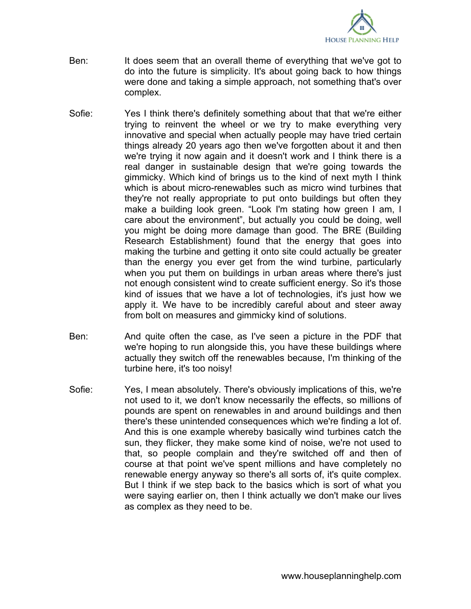

- Ben: It does seem that an overall theme of everything that we've got to do into the future is simplicity. It's about going back to how things were done and taking a simple approach, not something that's over complex.
- Sofie: Yes I think there's definitely something about that that we're either trying to reinvent the wheel or we try to make everything very innovative and special when actually people may have tried certain things already 20 years ago then we've forgotten about it and then we're trying it now again and it doesn't work and I think there is a real danger in sustainable design that we're going towards the gimmicky. Which kind of brings us to the kind of next myth I think which is about micro-renewables such as micro wind turbines that they're not really appropriate to put onto buildings but often they make a building look green. "Look I'm stating how green I am, I care about the environment", but actually you could be doing, well you might be doing more damage than good. The BRE (Building Research Establishment) found that the energy that goes into making the turbine and getting it onto site could actually be greater than the energy you ever get from the wind turbine, particularly when you put them on buildings in urban areas where there's just not enough consistent wind to create sufficient energy. So it's those kind of issues that we have a lot of technologies, it's just how we apply it. We have to be incredibly careful about and steer away from bolt on measures and gimmicky kind of solutions.
- Ben: And quite often the case, as I've seen a picture in the PDF that we're hoping to run alongside this, you have these buildings where actually they switch off the renewables because, I'm thinking of the turbine here, it's too noisy!
- Sofie: Yes, I mean absolutely. There's obviously implications of this, we're not used to it, we don't know necessarily the effects, so millions of pounds are spent on renewables in and around buildings and then there's these unintended consequences which we're finding a lot of. And this is one example whereby basically wind turbines catch the sun, they flicker, they make some kind of noise, we're not used to that, so people complain and they're switched off and then of course at that point we've spent millions and have completely no renewable energy anyway so there's all sorts of, it's quite complex. But I think if we step back to the basics which is sort of what you were saying earlier on, then I think actually we don't make our lives as complex as they need to be.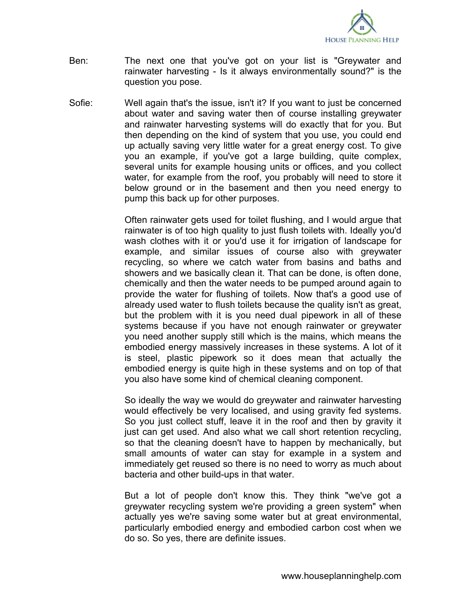

- Ben: The next one that you've got on your list is "Greywater and rainwater harvesting - Is it always environmentally sound?" is the question you pose.
- Sofie: Well again that's the issue, isn't it? If you want to just be concerned about water and saving water then of course installing greywater and rainwater harvesting systems will do exactly that for you. But then depending on the kind of system that you use, you could end up actually saving very little water for a great energy cost. To give you an example, if you've got a large building, quite complex, several units for example housing units or offices, and you collect water, for example from the roof, you probably will need to store it below ground or in the basement and then you need energy to pump this back up for other purposes.

Often rainwater gets used for toilet flushing, and I would argue that rainwater is of too high quality to just flush toilets with. Ideally you'd wash clothes with it or you'd use it for irrigation of landscape for example, and similar issues of course also with greywater recycling, so where we catch water from basins and baths and showers and we basically clean it. That can be done, is often done, chemically and then the water needs to be pumped around again to provide the water for flushing of toilets. Now that's a good use of already used water to flush toilets because the quality isn't as great, but the problem with it is you need dual pipework in all of these systems because if you have not enough rainwater or greywater you need another supply still which is the mains, which means the embodied energy massively increases in these systems. A lot of it is steel, plastic pipework so it does mean that actually the embodied energy is quite high in these systems and on top of that you also have some kind of chemical cleaning component.

So ideally the way we would do greywater and rainwater harvesting would effectively be very localised, and using gravity fed systems. So you just collect stuff, leave it in the roof and then by gravity it just can get used. And also what we call short retention recycling, so that the cleaning doesn't have to happen by mechanically, but small amounts of water can stay for example in a system and immediately get reused so there is no need to worry as much about bacteria and other build-ups in that water.

But a lot of people don't know this. They think "we've got a greywater recycling system we're providing a green system" when actually yes we're saving some water but at great environmental, particularly embodied energy and embodied carbon cost when we do so. So yes, there are definite issues.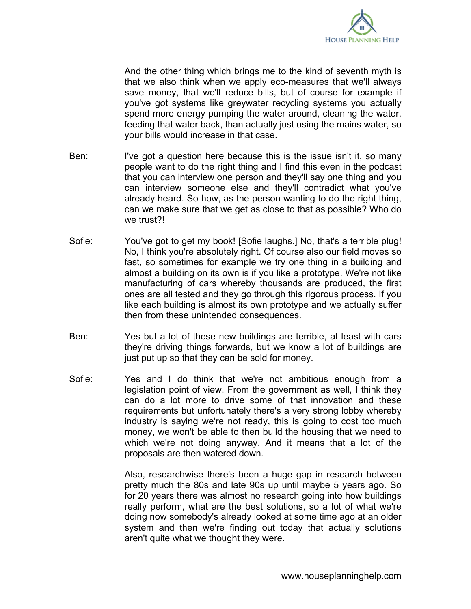

And the other thing which brings me to the kind of seventh myth is that we also think when we apply eco-measures that we'll always save money, that we'll reduce bills, but of course for example if you've got systems like greywater recycling systems you actually spend more energy pumping the water around, cleaning the water, feeding that water back, than actually just using the mains water, so your bills would increase in that case.

- Ben: I've got a question here because this is the issue isn't it, so many people want to do the right thing and I find this even in the podcast that you can interview one person and they'll say one thing and you can interview someone else and they'll contradict what you've already heard. So how, as the person wanting to do the right thing, can we make sure that we get as close to that as possible? Who do we trust?!
- Sofie: You've got to get my book! [Sofie laughs.] No, that's a terrible plug! No, I think you're absolutely right. Of course also our field moves so fast, so sometimes for example we try one thing in a building and almost a building on its own is if you like a prototype. We're not like manufacturing of cars whereby thousands are produced, the first ones are all tested and they go through this rigorous process. If you like each building is almost its own prototype and we actually suffer then from these unintended consequences.
- Ben: Yes but a lot of these new buildings are terrible, at least with cars they're driving things forwards, but we know a lot of buildings are just put up so that they can be sold for money.
- Sofie: Yes and I do think that we're not ambitious enough from a legislation point of view. From the government as well, I think they can do a lot more to drive some of that innovation and these requirements but unfortunately there's a very strong lobby whereby industry is saying we're not ready, this is going to cost too much money, we won't be able to then build the housing that we need to which we're not doing anyway. And it means that a lot of the proposals are then watered down.

Also, researchwise there's been a huge gap in research between pretty much the 80s and late 90s up until maybe 5 years ago. So for 20 years there was almost no research going into how buildings really perform, what are the best solutions, so a lot of what we're doing now somebody's already looked at some time ago at an older system and then we're finding out today that actually solutions aren't quite what we thought they were.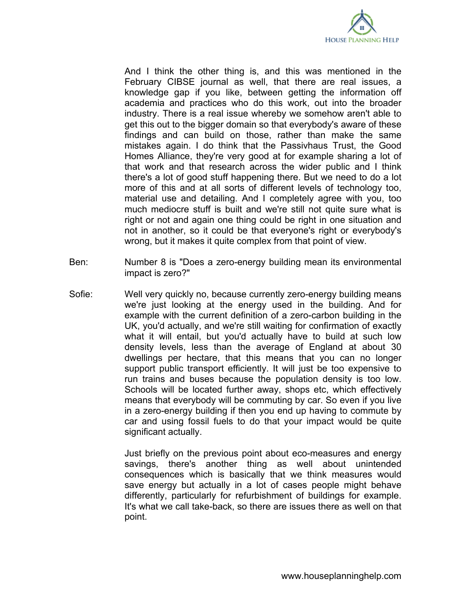

And I think the other thing is, and this was mentioned in the February CIBSE journal as well, that there are real issues, a knowledge gap if you like, between getting the information off academia and practices who do this work, out into the broader industry. There is a real issue whereby we somehow aren't able to get this out to the bigger domain so that everybody's aware of these findings and can build on those, rather than make the same mistakes again. I do think that the Passivhaus Trust, the Good Homes Alliance, they're very good at for example sharing a lot of that work and that research across the wider public and I think there's a lot of good stuff happening there. But we need to do a lot more of this and at all sorts of different levels of technology too, material use and detailing. And I completely agree with you, too much mediocre stuff is built and we're still not quite sure what is right or not and again one thing could be right in one situation and not in another, so it could be that everyone's right or everybody's wrong, but it makes it quite complex from that point of view.

- Ben: Number 8 is "Does a zero-energy building mean its environmental impact is zero?"
- Sofie: Well very quickly no, because currently zero-energy building means we're just looking at the energy used in the building. And for example with the current definition of a zero-carbon building in the UK, you'd actually, and we're still waiting for confirmation of exactly what it will entail, but you'd actually have to build at such low density levels, less than the average of England at about 30 dwellings per hectare, that this means that you can no longer support public transport efficiently. It will just be too expensive to run trains and buses because the population density is too low. Schools will be located further away, shops etc, which effectively means that everybody will be commuting by car. So even if you live in a zero-energy building if then you end up having to commute by car and using fossil fuels to do that your impact would be quite significant actually.

Just briefly on the previous point about eco-measures and energy savings, there's another thing as well about unintended consequences which is basically that we think measures would save energy but actually in a lot of cases people might behave differently, particularly for refurbishment of buildings for example. It's what we call take-back, so there are issues there as well on that point.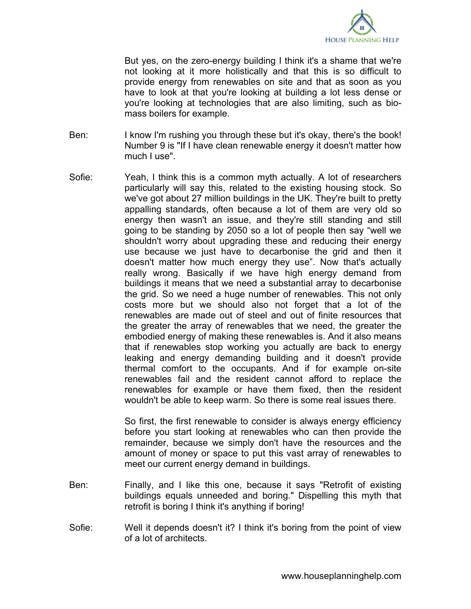

But yes, on the zero-energy building I think it's a shame that we're not looking at it more holistically and that this is so difficult to provide energy from renewables on site and that as soon as you have to look at that you're looking at building a lot less dense or you're looking at technologies that are also limiting, such as biomass boilers for example.

- Ben: I know I'm rushing you through these but it's okay, there's the book! Number 9 is "If I have clean renewable energy it doesn't matter how much I use".
- Sofie: Yeah, I think this is a common myth actually. A lot of researchers particularly will say this, related to the existing housing stock. So we've got about 27 million buildings in the UK. They're built to pretty appalling standards, often because a lot of them are very old so energy then wasn't an issue, and they're still standing and still going to be standing by 2050 so a lot of people then say "well we shouldn't worry about upgrading these and reducing their energy use because we just have to decarbonise the grid and then it doesn't matter how much energy they use". Now that's actually really wrong. Basically if we have high energy demand from buildings it means that we need a substantial array to decarbonise the grid. So we need a huge number of renewables. This not only costs more but we should also not forget that a lot of the renewables are made out of steel and out of finite resources that the greater the array of renewables that we need, the greater the embodied energy of making these renewables is. And it also means that if renewables stop working you actually are back to energy leaking and energy demanding building and it doesn't provide thermal comfort to the occupants. And if for example on-site renewables fail and the resident cannot afford to replace the renewables for example or have them fixed, then the resident wouldn't be able to keep warm. So there is some real issues there.

So first, the first renewable to consider is always energy efficiency before you start looking at renewables who can then provide the remainder, because we simply don't have the resources and the amount of money or space to put this vast array of renewables to meet our current energy demand in buildings.

- Ben: Finally, and I like this one, because it says "Retrofit of existing buildings equals unneeded and boring." Dispelling this myth that retrofit is boring I think it's anything if boring!
- Sofie: Well it depends doesn't it? I think it's boring from the point of view of a lot of architects.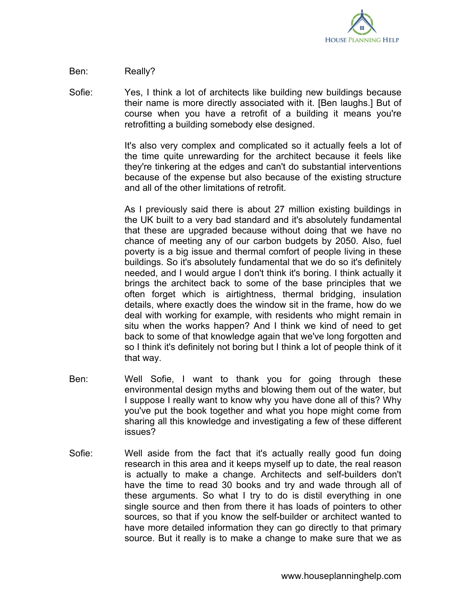

## Ben: Really?

Sofie: Yes, I think a lot of architects like building new buildings because their name is more directly associated with it. [Ben laughs.] But of course when you have a retrofit of a building it means you're retrofitting a building somebody else designed.

> It's also very complex and complicated so it actually feels a lot of the time quite unrewarding for the architect because it feels like they're tinkering at the edges and can't do substantial interventions because of the expense but also because of the existing structure and all of the other limitations of retrofit.

> As I previously said there is about 27 million existing buildings in the UK built to a very bad standard and it's absolutely fundamental that these are upgraded because without doing that we have no chance of meeting any of our carbon budgets by 2050. Also, fuel poverty is a big issue and thermal comfort of people living in these buildings. So it's absolutely fundamental that we do so it's definitely needed, and I would argue I don't think it's boring. I think actually it brings the architect back to some of the base principles that we often forget which is airtightness, thermal bridging, insulation details, where exactly does the window sit in the frame, how do we deal with working for example, with residents who might remain in situ when the works happen? And I think we kind of need to get back to some of that knowledge again that we've long forgotten and so I think it's definitely not boring but I think a lot of people think of it that way.

- Ben: Well Sofie, I want to thank you for going through these environmental design myths and blowing them out of the water, but I suppose I really want to know why you have done all of this? Why you've put the book together and what you hope might come from sharing all this knowledge and investigating a few of these different issues?
- Sofie: Well aside from the fact that it's actually really good fun doing research in this area and it keeps myself up to date, the real reason is actually to make a change. Architects and self-builders don't have the time to read 30 books and try and wade through all of these arguments. So what I try to do is distil everything in one single source and then from there it has loads of pointers to other sources, so that if you know the self-builder or architect wanted to have more detailed information they can go directly to that primary source. But it really is to make a change to make sure that we as